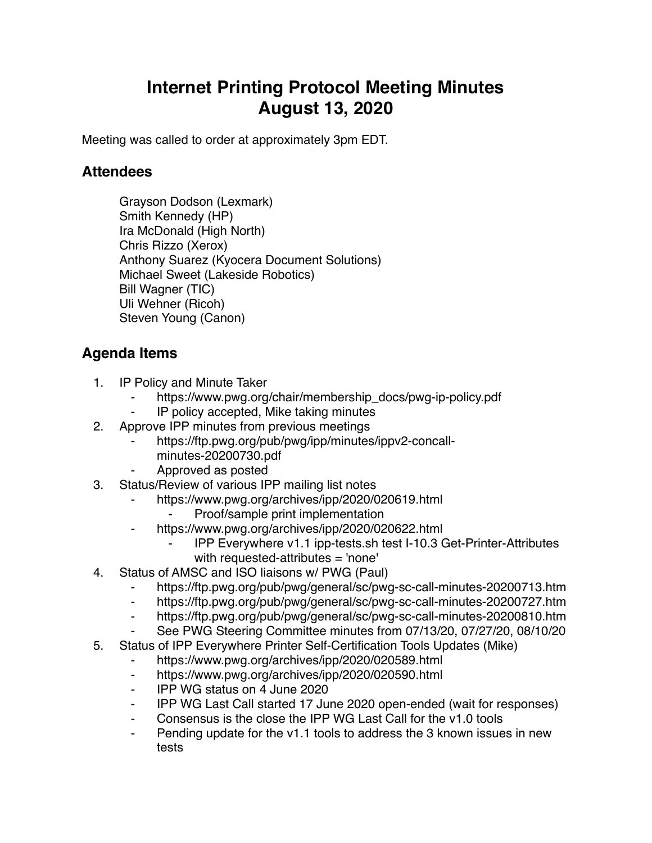## **Internet Printing Protocol Meeting Minutes August 13, 2020**

Meeting was called to order at approximately 3pm EDT.

## **Attendees**

Grayson Dodson (Lexmark) Smith Kennedy (HP) Ira McDonald (High North) Chris Rizzo (Xerox) Anthony Suarez (Kyocera Document Solutions) Michael Sweet (Lakeside Robotics) Bill Wagner (TIC) Uli Wehner (Ricoh) Steven Young (Canon)

## **Agenda Items**

- 1. IP Policy and Minute Taker
	- https://www.pwg.org/chair/membership\_docs/pwg-ip-policy.pdf
	- ⁃ IP policy accepted, Mike taking minutes
- 2. Approve IPP minutes from previous meetings
	- https://ftp.pwg.org/pub/pwg/ipp/minutes/ippv2-concall
		- minutes-20200730.pdf
	- ⁃ Approved as posted
- 3. Status/Review of various IPP mailing list notes
	- https://www.pwg.org/archives/ipp/2020/020619.html
		- Proof/sample print implementation
	- https://www.pwg.org/archives/ipp/2020/020622.html
		- ⁃ IPP Everywhere v1.1 ipp-tests.sh test I-10.3 Get-Printer-Attributes with requested-attributes = 'none'
- 4. Status of AMSC and ISO liaisons w/ PWG (Paul)
	- ⁃ https://ftp.pwg.org/pub/pwg/general/sc/pwg-sc-call-minutes-20200713.htm
	- ⁃ https://ftp.pwg.org/pub/pwg/general/sc/pwg-sc-call-minutes-20200727.htm
	- ⁃ https://ftp.pwg.org/pub/pwg/general/sc/pwg-sc-call-minutes-20200810.htm
	- See PWG Steering Committee minutes from 07/13/20, 07/27/20, 08/10/20
- 5. Status of IPP Everywhere Printer Self-Certification Tools Updates (Mike)
	- https://www.pwg.org/archives/ipp/2020/020589.html
	- ⁃ https://www.pwg.org/archives/ipp/2020/020590.html
	- ⁃ IPP WG status on 4 June 2020
	- ⁃ IPP WG Last Call started 17 June 2020 open-ended (wait for responses)
	- Consensus is the close the IPP WG Last Call for the v1.0 tools
	- Pending update for the v1.1 tools to address the 3 known issues in new tests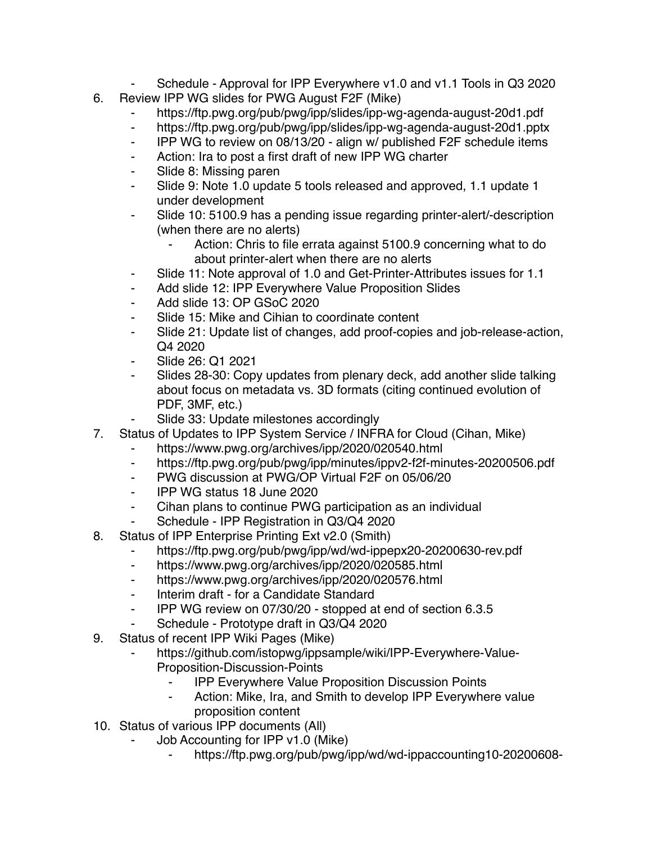- Schedule Approval for IPP Everywhere v1.0 and v1.1 Tools in Q3 2020 6. Review IPP WG slides for PWG August F2F (Mike)
	- https://ftp.pwg.org/pub/pwg/ipp/slides/ipp-wg-agenda-august-20d1.pdf
	- ⁃ https://ftp.pwg.org/pub/pwg/ipp/slides/ipp-wg-agenda-august-20d1.pptx
	- ⁃ IPP WG to review on 08/13/20 align w/ published F2F schedule items
	- ⁃ Action: Ira to post a first draft of new IPP WG charter
	- Slide 8: Missing paren
	- Slide 9: Note 1.0 update 5 tools released and approved, 1.1 update 1 under development
	- ⁃ Slide 10: 5100.9 has a pending issue regarding printer-alert/-description (when there are no alerts)
		- Action: Chris to file errata against 5100.9 concerning what to do about printer-alert when there are no alerts
	- Slide 11: Note approval of 1.0 and Get-Printer-Attributes issues for 1.1
	- ⁃ Add slide 12: IPP Everywhere Value Proposition Slides
	- Add slide 13: OP GSoC 2020
	- Slide 15: Mike and Cihian to coordinate content
	- Slide 21: Update list of changes, add proof-copies and job-release-action, Q4 2020
	- ⁃ Slide 26: Q1 2021
	- Slides 28-30: Copy updates from plenary deck, add another slide talking about focus on metadata vs. 3D formats (citing continued evolution of PDF, 3MF, etc.)
		- Slide 33: Update milestones accordingly
- 7. Status of Updates to IPP System Service / INFRA for Cloud (Cihan, Mike)
	- https://www.pwg.org/archives/ipp/2020/020540.html
		- ⁃ https://ftp.pwg.org/pub/pwg/ipp/minutes/ippv2-f2f-minutes-20200506.pdf
		- ⁃ PWG discussion at PWG/OP Virtual F2F on 05/06/20
		- ⁃ IPP WG status 18 June 2020
		- ⁃ Cihan plans to continue PWG participation as an individual
		- Schedule IPP Registration in Q3/Q4 2020
- 8. Status of IPP Enterprise Printing Ext v2.0 (Smith)
	- https://ftp.pwg.org/pub/pwg/ipp/wd/wd-ippepx20-20200630-rev.pdf
	- ⁃ https://www.pwg.org/archives/ipp/2020/020585.html
	- ⁃ https://www.pwg.org/archives/ipp/2020/020576.html
	- ⁃ Interim draft for a Candidate Standard
	- ⁃ IPP WG review on 07/30/20 stopped at end of section 6.3.5
	- Schedule Prototype draft in Q3/Q4 2020
- 9. Status of recent IPP Wiki Pages (Mike)
	- https://github.com/istopwg/ippsample/wiki/IPP-Everywhere-Value-Proposition-Discussion-Points
		- ⁃ IPP Everywhere Value Proposition Discussion Points
			- Action: Mike, Ira, and Smith to develop IPP Everywhere value proposition content
- 10. Status of various IPP documents (All)
	- Job Accounting for IPP v1.0 (Mike)
		- ⁃ https://ftp.pwg.org/pub/pwg/ipp/wd/wd-ippaccounting10-20200608-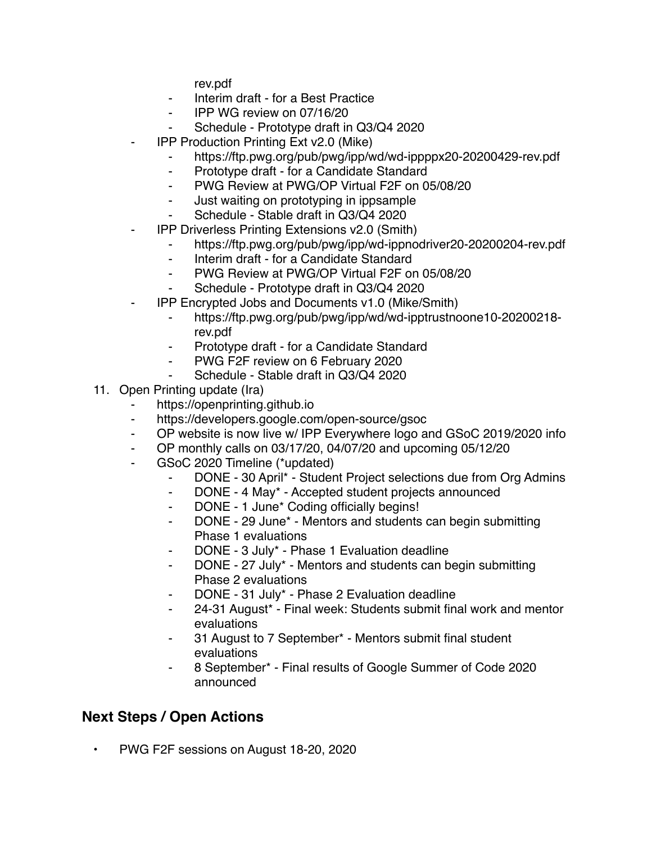rev.pdf

- ⁃ Interim draft for a Best Practice
- ⁃ IPP WG review on 07/16/20
- Schedule Prototype draft in Q3/Q4 2020
- **IPP Production Printing Ext v2.0 (Mike)** 
	- https://ftp.pwg.org/pub/pwg/ipp/wd/wd-ippppx20-20200429-rev.pdf
	- ⁃ Prototype draft for a Candidate Standard
	- ⁃ PWG Review at PWG/OP Virtual F2F on 05/08/20
	- ⁃ Just waiting on prototyping in ippsample
		- Schedule Stable draft in Q3/Q4 2020
- **IPP Driverless Printing Extensions v2.0 (Smith)** 
	- ⁃ https://ftp.pwg.org/pub/pwg/ipp/wd-ippnodriver20-20200204-rev.pdf
	- ⁃ Interim draft for a Candidate Standard
	- ⁃ PWG Review at PWG/OP Virtual F2F on 05/08/20
	- Schedule Prototype draft in Q3/Q4 2020
- ⁃ IPP Encrypted Jobs and Documents v1.0 (Mike/Smith)
	- ⁃ https://ftp.pwg.org/pub/pwg/ipp/wd/wd-ipptrustnoone10-20200218 rev.pdf
	- Prototype draft for a Candidate Standard
	- ⁃ PWG F2F review on 6 February 2020
	- Schedule Stable draft in Q3/Q4 2020
- 11. Open Printing update (Ira)
	- https://openprinting.github.io
	- ⁃ https://developers.google.com/open-source/gsoc
	- ⁃ OP website is now live w/ IPP Everywhere logo and GSoC 2019/2020 info
	- ⁃ OP monthly calls on 03/17/20, 04/07/20 and upcoming 05/12/20
	- GSoC 2020 Timeline (\*updated)
		- ⁃ DONE 30 April\* Student Project selections due from Org Admins
		- ⁃ DONE 4 May\* Accepted student projects announced
		- ⁃ DONE 1 June\* Coding officially begins!
		- DONE 29 June\* Mentors and students can begin submitting Phase 1 evaluations
		- DONE 3 July\* Phase 1 Evaluation deadline
		- ⁃ DONE 27 July\* Mentors and students can begin submitting Phase 2 evaluations
		- DONE 31 July\* Phase 2 Evaluation deadline
		- 24-31 August\* Final week: Students submit final work and mentor evaluations
		- ⁃ 31 August to 7 September\* Mentors submit final student evaluations
		- ⁃ 8 September\* Final results of Google Summer of Code 2020 announced

## **Next Steps / Open Actions**

• PWG F2F sessions on August 18-20, 2020